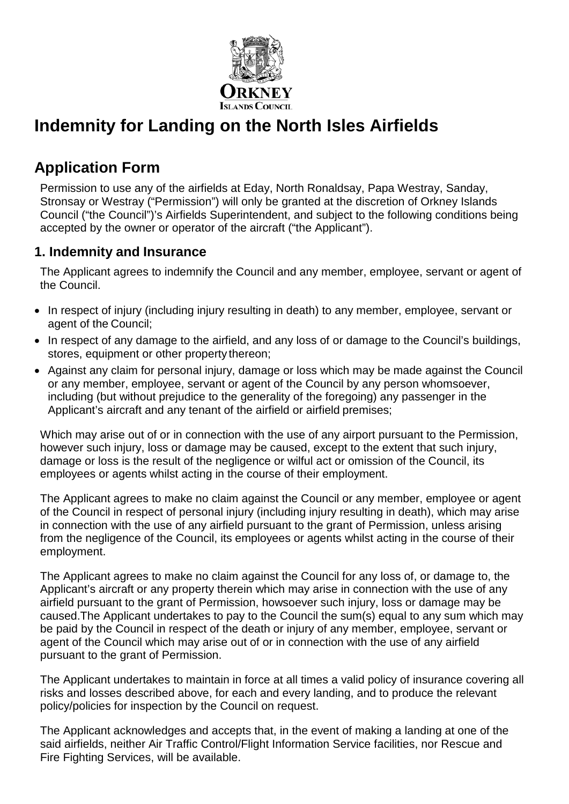

# **Indemnity for Landing on the North Isles Airfields**

## **Application Form**

Permission to use any of the airfields at Eday, North Ronaldsay, Papa Westray, Sanday, Stronsay or Westray ("Permission") will only be granted at the discretion of Orkney Islands Council ("the Council")'s Airfields Superintendent, and subject to the following conditions being accepted by the owner or operator of the aircraft ("the Applicant").

#### **1. Indemnity and Insurance**

The Applicant agrees to indemnify the Council and any member, employee, servant or agent of the Council.

- In respect of injury (including injury resulting in death) to any member, employee, servant or agent of the Council;
- In respect of any damage to the airfield, and any loss of or damage to the Council's buildings, stores, equipment or other property thereon;
- Against any claim for personal injury, damage or loss which may be made against the Council or any member, employee, servant or agent of the Council by any person whomsoever, including (but without prejudice to the generality of the foregoing) any passenger in the Applicant's aircraft and any tenant of the airfield or airfield premises;

Which may arise out of or in connection with the use of any airport pursuant to the Permission, however such injury, loss or damage may be caused, except to the extent that such injury, damage or loss is the result of the negligence or wilful act or omission of the Council, its employees or agents whilst acting in the course of their employment.

The Applicant agrees to make no claim against the Council or any member, employee or agent of the Council in respect of personal injury (including injury resulting in death), which may arise in connection with the use of any airfield pursuant to the grant of Permission, unless arising from the negligence of the Council, its employees or agents whilst acting in the course of their employment.

The Applicant agrees to make no claim against the Council for any loss of, or damage to, the Applicant's aircraft or any property therein which may arise in connection with the use of any airfield pursuant to the grant of Permission, howsoever such injury, loss or damage may be caused.The Applicant undertakes to pay to the Council the sum(s) equal to any sum which may be paid by the Council in respect of the death or injury of any member, employee, servant or agent of the Council which may arise out of or in connection with the use of any airfield pursuant to the grant of Permission.

The Applicant undertakes to maintain in force at all times a valid policy of insurance covering all risks and losses described above, for each and every landing, and to produce the relevant policy/policies for inspection by the Council on request.

The Applicant acknowledges and accepts that, in the event of making a landing at one of the said airfields, neither Air Traffic Control/Flight Information Service facilities, nor Rescue and Fire Fighting Services, will be available.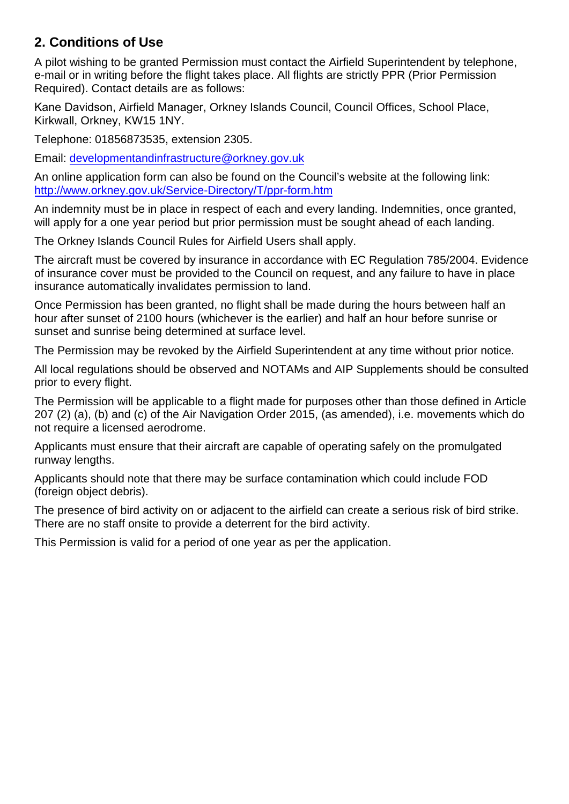### **2. Conditions of Use**

A pilot wishing to be granted Permission must contact the Airfield Superintendent by telephone, e-mail or in writing before the flight takes place. All flights are strictly PPR (Prior Permission Required). Contact details are as follows:

Kane Davidson, Airfield Manager, Orkney Islands Council, Council Offices, School Place, Kirkwall, Orkney, KW15 1NY.

Telephone: 01856873535, extension 2305.

Email: [developmentandinfrastructure@orkney.gov.uk](mailto:developmentandinfrastructure@orkney.gov.uk)

An online application form can also be found on the Council's website at the following link: <http://www.orkney.gov.uk/Service-Directory/T/ppr-form.htm>

An indemnity must be in place in respect of each and every landing. Indemnities, once granted, will apply for a one year period but prior permission must be sought ahead of each landing.

The Orkney Islands Council Rules for Airfield Users shall apply.

The aircraft must be covered by insurance in accordance with EC Regulation 785/2004. Evidence of insurance cover must be provided to the Council on request, and any failure to have in place insurance automatically invalidates permission to land.

Once Permission has been granted, no flight shall be made during the hours between half an hour after sunset of 2100 hours (whichever is the earlier) and half an hour before sunrise or sunset and sunrise being determined at surface level.

The Permission may be revoked by the Airfield Superintendent at any time without prior notice.

All local regulations should be observed and NOTAMs and AIP Supplements should be consulted prior to every flight.

The Permission will be applicable to a flight made for purposes other than those defined in Article 207 (2) (a), (b) and (c) of the Air Navigation Order 2015, (as amended), i.e. movements which do not require a licensed aerodrome.

Applicants must ensure that their aircraft are capable of operating safely on the promulgated runway lengths.

Applicants should note that there may be surface contamination which could include FOD (foreign object debris).

The presence of bird activity on or adjacent to the airfield can create a serious risk of bird strike. There are no staff onsite to provide a deterrent for the bird activity.

This Permission is valid for a period of one year as per the application.